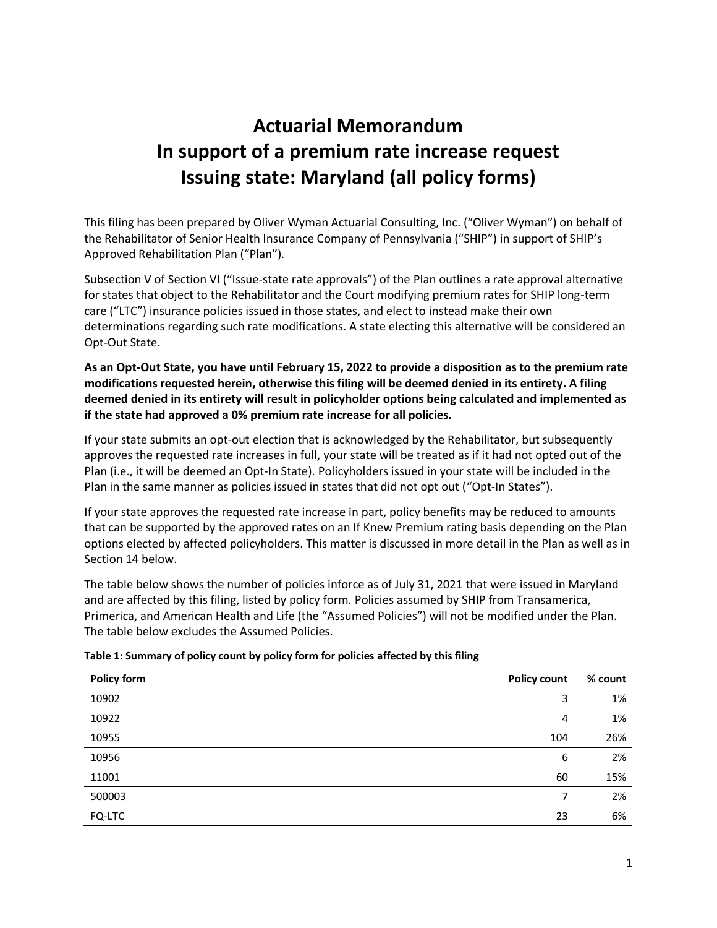# **Actuarial Memorandum In support of a premium rate increase request Issuing state: Maryland (all policy forms)**

This filing has been prepared by Oliver Wyman Actuarial Consulting, Inc. ("Oliver Wyman") on behalf of the Rehabilitator of Senior Health Insurance Company of Pennsylvania ("SHIP") in support of SHIP's Approved Rehabilitation Plan ("Plan").

Subsection V of Section VI ("Issue-state rate approvals") of the Plan outlines a rate approval alternative for states that object to the Rehabilitator and the Court modifying premium rates for SHIP long-term care ("LTC") insurance policies issued in those states, and elect to instead make their own determinations regarding such rate modifications. A state electing this alternative will be considered an Opt-Out State.

### **As an Opt-Out State, you have until February 15, 2022 to provide a disposition as to the premium rate modifications requested herein, otherwise this filing will be deemed denied in its entirety. A filing deemed denied in its entirety will result in policyholder options being calculated and implemented as if the state had approved a 0% premium rate increase for all policies.**

If your state submits an opt-out election that is acknowledged by the Rehabilitator, but subsequently approves the requested rate increases in full, your state will be treated as if it had not opted out of the Plan (i.e., it will be deemed an Opt-In State). Policyholders issued in your state will be included in the Plan in the same manner as policies issued in states that did not opt out ("Opt-In States").

If your state approves the requested rate increase in part, policy benefits may be reduced to amounts that can be supported by the approved rates on an If Knew Premium rating basis depending on the Plan options elected by affected policyholders. This matter is discussed in more detail in the Plan as well as in Section 14 below.

The table below shows the number of policies inforce as of July 31, 2021 that were issued in Maryland and are affected by this filing, listed by policy form. Policies assumed by SHIP from Transamerica, Primerica, and American Health and Life (the "Assumed Policies") will not be modified under the Plan. The table below excludes the Assumed Policies.

| Policy form | <b>Policy count</b> | % count |
|-------------|---------------------|---------|
| 10902       | 3                   | 1%      |
| 10922       | 4                   | 1%      |
| 10955       | 104                 | 26%     |
| 10956       | 6                   | 2%      |
| 11001       | 60                  | 15%     |
| 500003      | 7                   | 2%      |
| FQ-LTC      | 23                  | 6%      |

### **Table 1: Summary of policy count by policy form for policies affected by this filing**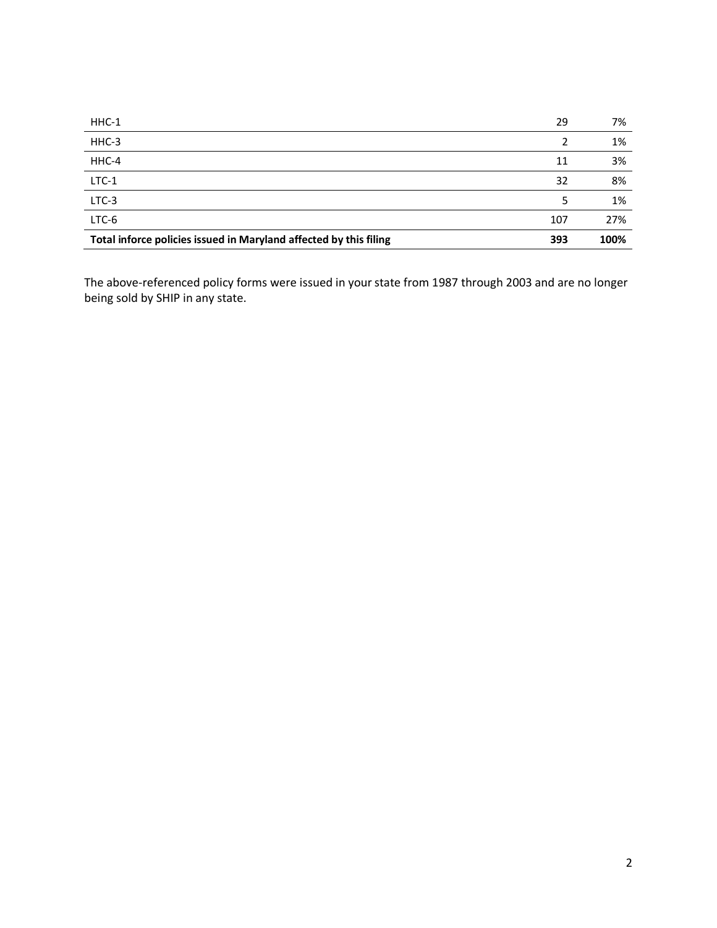| $HHC-1$                                                           | 29  | 7%   |
|-------------------------------------------------------------------|-----|------|
| HHC-3                                                             | 2   | 1%   |
| HHC-4                                                             | 11  | 3%   |
| $LTC-1$                                                           | 32  | 8%   |
| LTC-3                                                             |     | 1%   |
| LTC-6                                                             | 107 | 27%  |
| Total inforce policies issued in Maryland affected by this filing | 393 | 100% |

The above-referenced policy forms were issued in your state from 1987 through 2003 and are no longer being sold by SHIP in any state.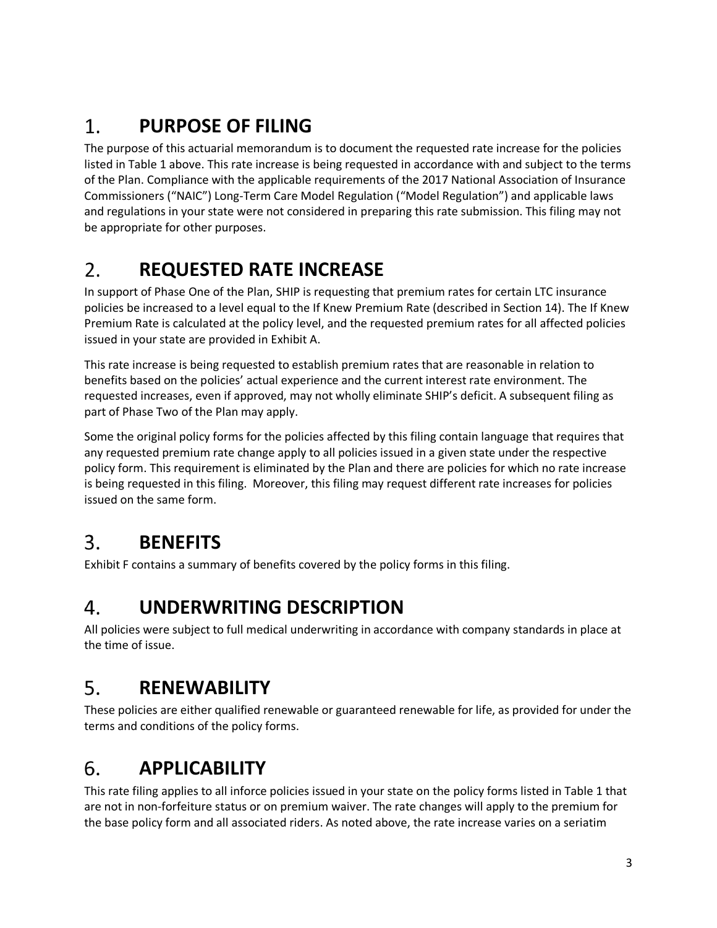#### 1. **PURPOSE OF FILING**

The purpose of this actuarial memorandum is to document the requested rate increase for the policies listed in Table 1 above. This rate increase is being requested in accordance with and subject to the terms of the Plan. Compliance with the applicable requirements of the 2017 National Association of Insurance Commissioners ("NAIC") Long-Term Care Model Regulation ("Model Regulation") and applicable laws and regulations in your state were not considered in preparing this rate submission. This filing may not be appropriate for other purposes.

#### 2. **REQUESTED RATE INCREASE**

In support of Phase One of the Plan, SHIP is requesting that premium rates for certain LTC insurance policies be increased to a level equal to the If Knew Premium Rate (described in Section 14). The If Knew Premium Rate is calculated at the policy level, and the requested premium rates for all affected policies issued in your state are provided in Exhibit A.

This rate increase is being requested to establish premium rates that are reasonable in relation to benefits based on the policies' actual experience and the current interest rate environment. The requested increases, even if approved, may not wholly eliminate SHIP's deficit. A subsequent filing as part of Phase Two of the Plan may apply.

Some the original policy forms for the policies affected by this filing contain language that requires that any requested premium rate change apply to all policies issued in a given state under the respective policy form. This requirement is eliminated by the Plan and there are policies for which no rate increase is being requested in this filing. Moreover, this filing may request different rate increases for policies issued on the same form.

#### 3. **BENEFITS**

Exhibit F contains a summary of benefits covered by the policy forms in this filing.

#### $\mathbf{4}_{\cdot}$ **UNDERWRITING DESCRIPTION**

All policies were subject to full medical underwriting in accordance with company standards in place at the time of issue.

#### 5. **RENEWABILITY**

These policies are either qualified renewable or guaranteed renewable for life, as provided for under the terms and conditions of the policy forms.

#### 6. **APPLICABILITY**

This rate filing applies to all inforce policies issued in your state on the policy forms listed in Table 1 that are not in non-forfeiture status or on premium waiver. The rate changes will apply to the premium for the base policy form and all associated riders. As noted above, the rate increase varies on a seriatim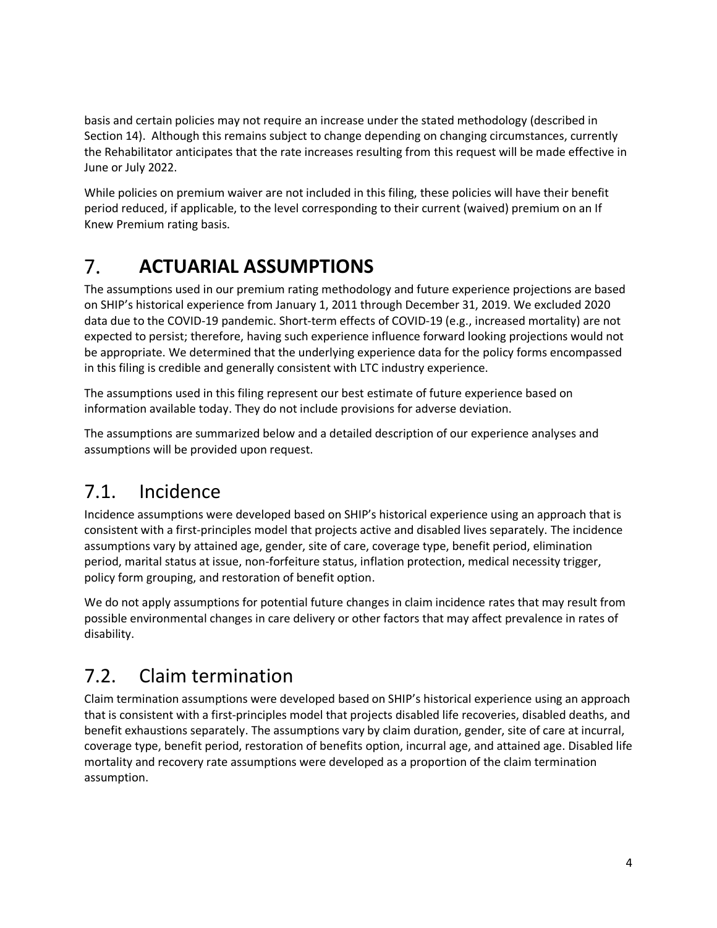basis and certain policies may not require an increase under the stated methodology (described in Section 14). Although this remains subject to change depending on changing circumstances, currently the Rehabilitator anticipates that the rate increases resulting from this request will be made effective in June or July 2022.

While policies on premium waiver are not included in this filing, these policies will have their benefit period reduced, if applicable, to the level corresponding to their current (waived) premium on an If Knew Premium rating basis.

#### $7_{\scriptscriptstyle{\ddots}}$ **ACTUARIAL ASSUMPTIONS**

The assumptions used in our premium rating methodology and future experience projections are based on SHIP's historical experience from January 1, 2011 through December 31, 2019. We excluded 2020 data due to the COVID-19 pandemic. Short-term effects of COVID-19 (e.g., increased mortality) are not expected to persist; therefore, having such experience influence forward looking projections would not be appropriate. We determined that the underlying experience data for the policy forms encompassed in this filing is credible and generally consistent with LTC industry experience.

The assumptions used in this filing represent our best estimate of future experience based on information available today. They do not include provisions for adverse deviation.

The assumptions are summarized below and a detailed description of our experience analyses and assumptions will be provided upon request.

# 7.1. Incidence

Incidence assumptions were developed based on SHIP's historical experience using an approach that is consistent with a first-principles model that projects active and disabled lives separately. The incidence assumptions vary by attained age, gender, site of care, coverage type, benefit period, elimination period, marital status at issue, non-forfeiture status, inflation protection, medical necessity trigger, policy form grouping, and restoration of benefit option.

We do not apply assumptions for potential future changes in claim incidence rates that may result from possible environmental changes in care delivery or other factors that may affect prevalence in rates of disability.

# 7.2. Claim termination

Claim termination assumptions were developed based on SHIP's historical experience using an approach that is consistent with a first-principles model that projects disabled life recoveries, disabled deaths, and benefit exhaustions separately. The assumptions vary by claim duration, gender, site of care at incurral, coverage type, benefit period, restoration of benefits option, incurral age, and attained age. Disabled life mortality and recovery rate assumptions were developed as a proportion of the claim termination assumption.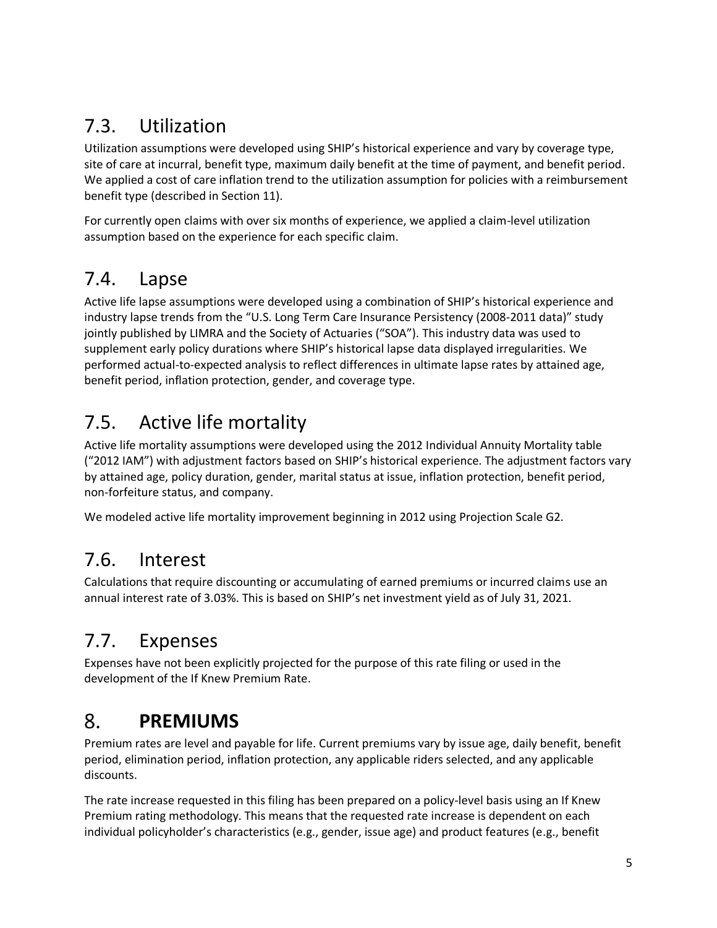# 7.3. Utilization

Utilization assumptions were developed using SHIP's historical experience and vary by coverage type, site of care at incurral, benefit type, maximum daily benefit at the time of payment, and benefit period. We applied a cost of care inflation trend to the utilization assumption for policies with a reimbursement benefit type (described in Section 11).

For currently open claims with over six months of experience, we applied a claim-level utilization assumption based on the experience for each specific claim.

## 7.4. Lapse

Active life lapse assumptions were developed using a combination of SHIP's historical experience and industry lapse trends from the "U.S. Long Term Care Insurance Persistency (2008-2011 data)" study jointly published by LIMRA and the Society of Actuaries ("SOA"). This industry data was used to supplement early policy durations where SHIP's historical lapse data displayed irregularities. We performed actual-to-expected analysis to reflect differences in ultimate lapse rates by attained age, benefit period, inflation protection, gender, and coverage type.

# 7.5. Active life mortality

Active life mortality assumptions were developed using the 2012 Individual Annuity Mortality table ("2012 IAM") with adjustment factors based on SHIP's historical experience. The adjustment factors vary by attained age, policy duration, gender, marital status at issue, inflation protection, benefit period, non-forfeiture status, and company.

We modeled active life mortality improvement beginning in 2012 using Projection Scale G2.

## 7.6. Interest

Calculations that require discounting or accumulating of earned premiums or incurred claims use an annual interest rate of 3.03%. This is based on SHIP's net investment yield as of July 31, 2021.

# 7.7. Expenses

Expenses have not been explicitly projected for the purpose of this rate filing or used in the development of the If Knew Premium Rate.

#### 8. **PREMIUMS**

Premium rates are level and payable for life. Current premiums vary by issue age, daily benefit, benefit period, elimination period, inflation protection, any applicable riders selected, and any applicable discounts.

The rate increase requested in this filing has been prepared on a policy-level basis using an If Knew Premium rating methodology. This means that the requested rate increase is dependent on each individual policyholder's characteristics (e.g., gender, issue age) and product features (e.g., benefit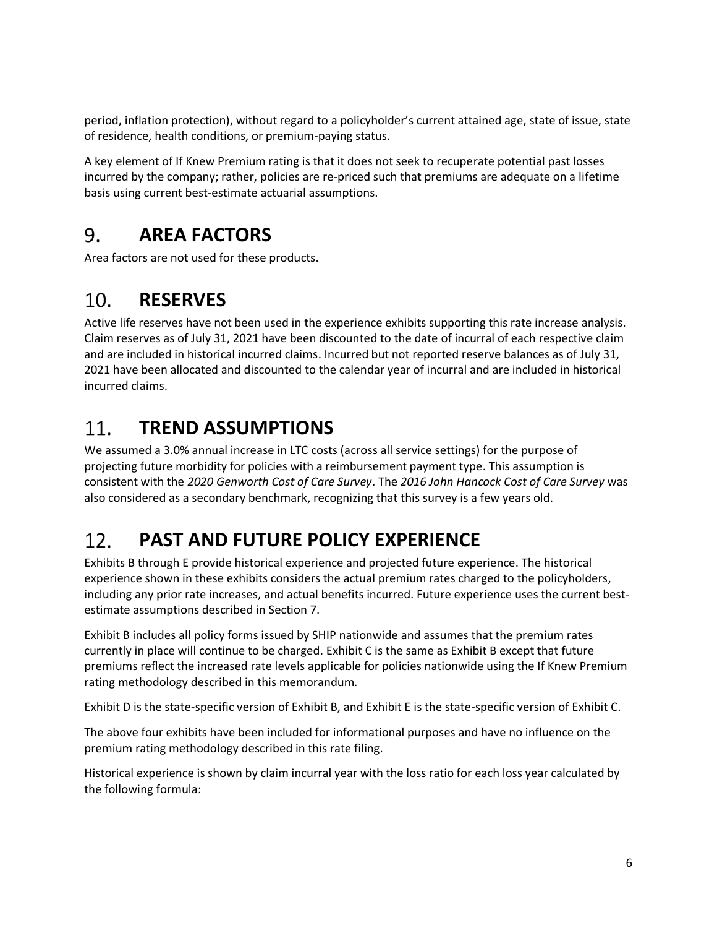period, inflation protection), without regard to a policyholder's current attained age, state of issue, state of residence, health conditions, or premium-paying status.

A key element of If Knew Premium rating is that it does not seek to recuperate potential past losses incurred by the company; rather, policies are re-priced such that premiums are adequate on a lifetime basis using current best-estimate actuarial assumptions.

#### 9. **AREA FACTORS**

Area factors are not used for these products.

#### $10.$ **RESERVES**

Active life reserves have not been used in the experience exhibits supporting this rate increase analysis. Claim reserves as of July 31, 2021 have been discounted to the date of incurral of each respective claim and are included in historical incurred claims. Incurred but not reported reserve balances as of July 31, 2021 have been allocated and discounted to the calendar year of incurral and are included in historical incurred claims.

#### $11.$ **TREND ASSUMPTIONS**

We assumed a 3.0% annual increase in LTC costs (across all service settings) for the purpose of projecting future morbidity for policies with a reimbursement payment type. This assumption is consistent with the *2020 Genworth Cost of Care Survey*. The *2016 John Hancock Cost of Care Survey* was also considered as a secondary benchmark, recognizing that this survey is a few years old.

#### $12.$ **PAST AND FUTURE POLICY EXPERIENCE**

Exhibits B through E provide historical experience and projected future experience. The historical experience shown in these exhibits considers the actual premium rates charged to the policyholders, including any prior rate increases, and actual benefits incurred. Future experience uses the current bestestimate assumptions described in Section 7.

Exhibit B includes all policy forms issued by SHIP nationwide and assumes that the premium rates currently in place will continue to be charged. Exhibit C is the same as Exhibit B except that future premiums reflect the increased rate levels applicable for policies nationwide using the If Knew Premium rating methodology described in this memorandum.

Exhibit D is the state-specific version of Exhibit B, and Exhibit E is the state-specific version of Exhibit C.

The above four exhibits have been included for informational purposes and have no influence on the premium rating methodology described in this rate filing.

Historical experience is shown by claim incurral year with the loss ratio for each loss year calculated by the following formula: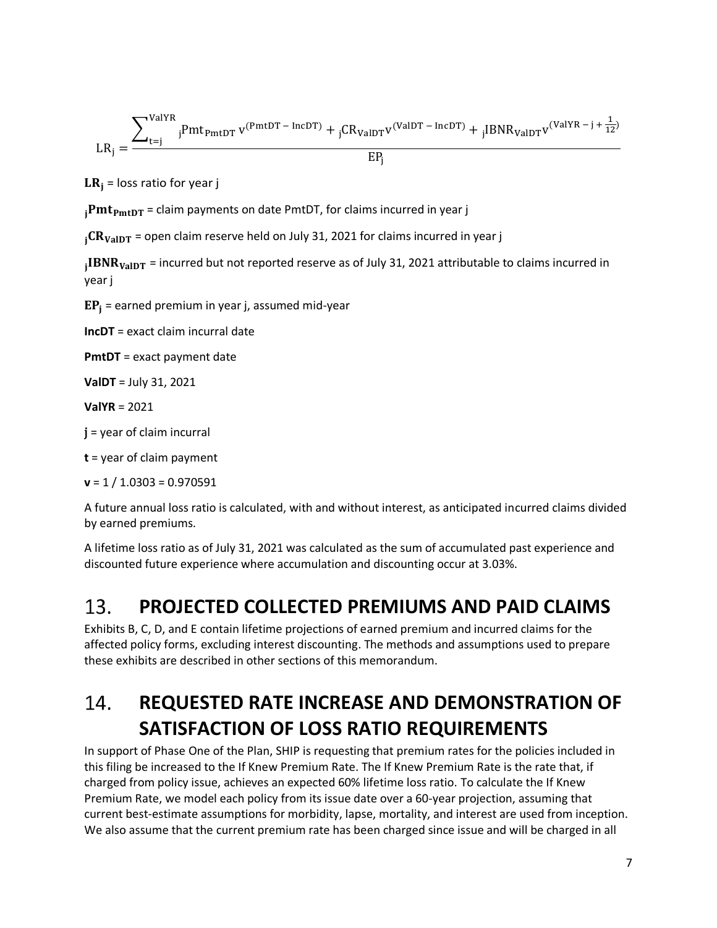$$
LR_j = \frac{\sum_{t=j}^{ValYR} {}_jPmt_{PmtDT} v^{(PmtDT - IncDT)} + {}_jCR_{ValDT} v^{(ValDT - IncDT)} + {}_jIBNR_{ValDT} v^{(ValYR - j + \frac{1}{12})}}{EP_j}
$$

 $LR_i$  = loss ratio for year j

 $_{i}Pmt_{PmtDT}$  = claim payments on date PmtDT, for claims incurred in year j

 $_{1}CR_{ValDT}$  = open claim reserve held on July 31, 2021 for claims incurred in year j

 $_{\rm j}$ IBNR $_{\rm {ValDT}}$  = incurred but not reported reserve as of July 31, 2021 attributable to claims incurred in year j

 $EP_i$  = earned premium in year j, assumed mid-year

**IncDT** = exact claim incurral date

**PmtDT** = exact payment date

**ValDT** = July 31, 2021

**ValYR** = 2021

 $j$  = year of claim incurral

**t** = year of claim payment

**v** = 1 / 1.0303 = 0.970591

A future annual loss ratio is calculated, with and without interest, as anticipated incurred claims divided by earned premiums.

A lifetime loss ratio as of July 31, 2021 was calculated as the sum of accumulated past experience and discounted future experience where accumulation and discounting occur at 3.03%.

#### $13.$ **PROJECTED COLLECTED PREMIUMS AND PAID CLAIMS**

Exhibits B, C, D, and E contain lifetime projections of earned premium and incurred claims for the affected policy forms, excluding interest discounting. The methods and assumptions used to prepare these exhibits are described in other sections of this memorandum.

### 14. **REQUESTED RATE INCREASE AND DEMONSTRATION OF SATISFACTION OF LOSS RATIO REQUIREMENTS**

In support of Phase One of the Plan, SHIP is requesting that premium rates for the policies included in this filing be increased to the If Knew Premium Rate. The If Knew Premium Rate is the rate that, if charged from policy issue, achieves an expected 60% lifetime loss ratio. To calculate the If Knew Premium Rate, we model each policy from its issue date over a 60-year projection, assuming that current best-estimate assumptions for morbidity, lapse, mortality, and interest are used from inception. We also assume that the current premium rate has been charged since issue and will be charged in all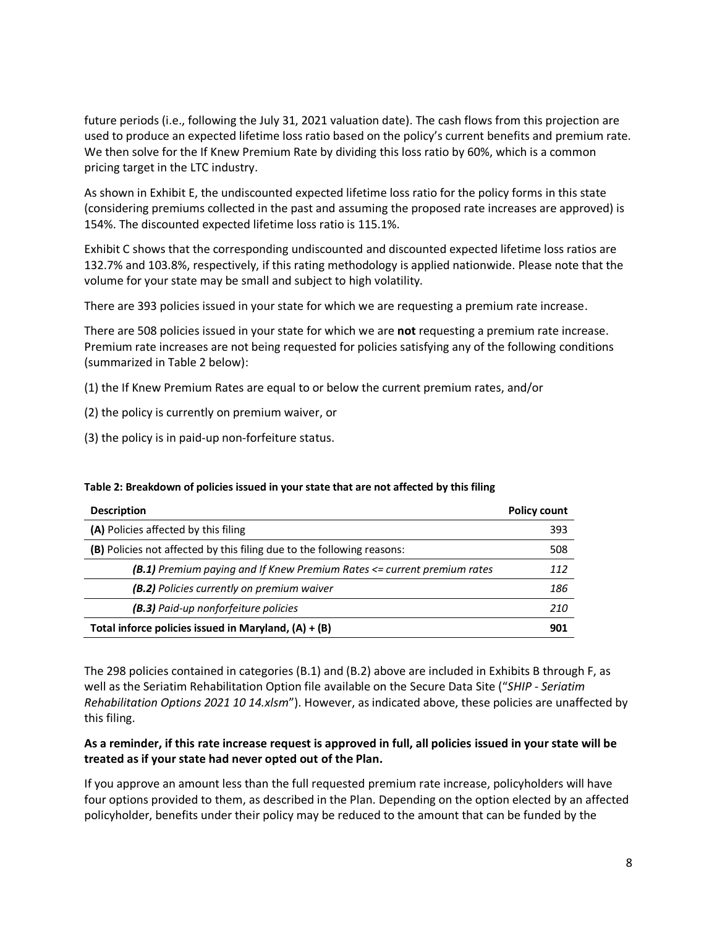future periods (i.e., following the July 31, 2021 valuation date). The cash flows from this projection are used to produce an expected lifetime loss ratio based on the policy's current benefits and premium rate. We then solve for the If Knew Premium Rate by dividing this loss ratio by 60%, which is a common pricing target in the LTC industry.

As shown in Exhibit E, the undiscounted expected lifetime loss ratio for the policy forms in this state (considering premiums collected in the past and assuming the proposed rate increases are approved) is 154%. The discounted expected lifetime loss ratio is 115.1%.

Exhibit C shows that the corresponding undiscounted and discounted expected lifetime loss ratios are 132.7% and 103.8%, respectively, if this rating methodology is applied nationwide. Please note that the volume for your state may be small and subject to high volatility.

There are 393 policies issued in your state for which we are requesting a premium rate increase.

There are 508 policies issued in your state for which we are **not** requesting a premium rate increase. Premium rate increases are not being requested for policies satisfying any of the following conditions (summarized in Table 2 below):

(1) the If Knew Premium Rates are equal to or below the current premium rates, and/or

- (2) the policy is currently on premium waiver, or
- (3) the policy is in paid-up non-forfeiture status.

| <b>Description</b>                                                      | <b>Policy count</b> |
|-------------------------------------------------------------------------|---------------------|
| (A) Policies affected by this filing                                    | 393                 |
| (B) Policies not affected by this filing due to the following reasons:  | 508                 |
| (B.1) Premium paying and If Knew Premium Rates <= current premium rates | 112                 |
| (B.2) Policies currently on premium waiver                              | 186                 |
| (B.3) Paid-up nonforfeiture policies                                    | 210                 |
| Total inforce policies issued in Maryland, $(A) + (B)$                  | 901                 |

#### **Table 2: Breakdown of policies issued in your state that are not affected by this filing**

The 298 policies contained in categories (B.1) and (B.2) above are included in Exhibits B through F, as well as the Seriatim Rehabilitation Option file available on the Secure Data Site ("*SHIP - Seriatim Rehabilitation Options 2021 10 14.xlsm*"). However, as indicated above, these policies are unaffected by this filing.

### **As a reminder, if this rate increase request is approved in full, all policies issued in your state will be treated as if your state had never opted out of the Plan.**

If you approve an amount less than the full requested premium rate increase, policyholders will have four options provided to them, as described in the Plan. Depending on the option elected by an affected policyholder, benefits under their policy may be reduced to the amount that can be funded by the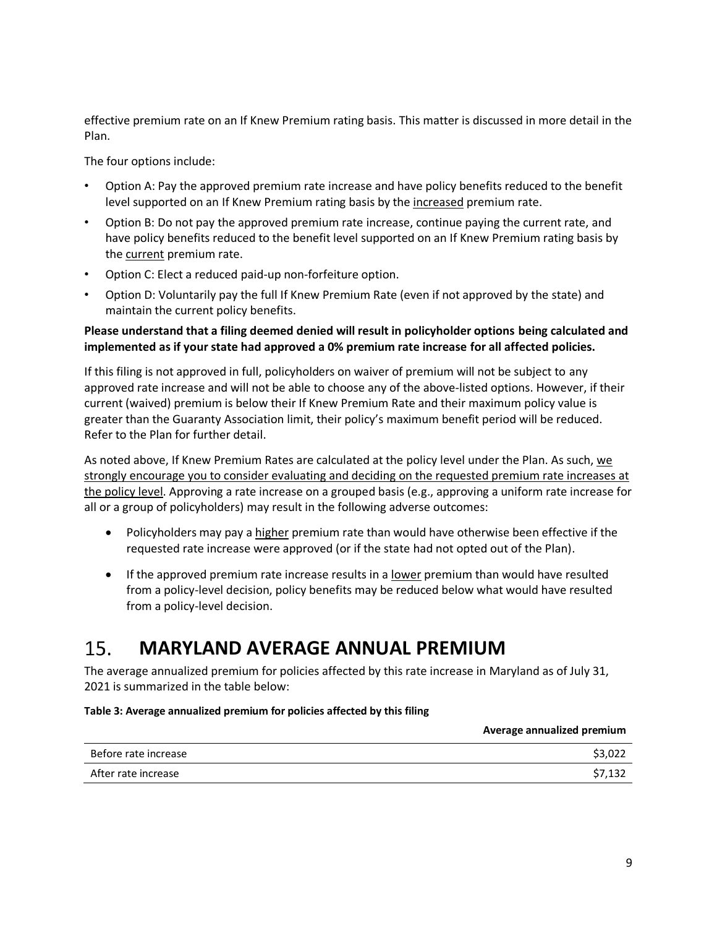effective premium rate on an If Knew Premium rating basis. This matter is discussed in more detail in the Plan.

The four options include:

- Option A: Pay the approved premium rate increase and have policy benefits reduced to the benefit level supported on an If Knew Premium rating basis by the increased premium rate.
- Option B: Do not pay the approved premium rate increase, continue paying the current rate, and have policy benefits reduced to the benefit level supported on an If Knew Premium rating basis by the current premium rate.
- Option C: Elect a reduced paid-up non-forfeiture option.
- Option D: Voluntarily pay the full If Knew Premium Rate (even if not approved by the state) and maintain the current policy benefits.

### **Please understand that a filing deemed denied will result in policyholder options being calculated and implemented as if your state had approved a 0% premium rate increase for all affected policies.**

If this filing is not approved in full, policyholders on waiver of premium will not be subject to any approved rate increase and will not be able to choose any of the above-listed options. However, if their current (waived) premium is below their If Knew Premium Rate and their maximum policy value is greater than the Guaranty Association limit, their policy's maximum benefit period will be reduced. Refer to the Plan for further detail.

As noted above, If Knew Premium Rates are calculated at the policy level under the Plan. As such, we strongly encourage you to consider evaluating and deciding on the requested premium rate increases at the policy level. Approving a rate increase on a grouped basis (e.g., approving a uniform rate increase for all or a group of policyholders) may result in the following adverse outcomes:

- Policyholders may pay a higher premium rate than would have otherwise been effective if the requested rate increase were approved (or if the state had not opted out of the Plan).
- If the approved premium rate increase results in a lower premium than would have resulted from a policy-level decision, policy benefits may be reduced below what would have resulted from a policy-level decision.

#### $15.$ **MARYLAND AVERAGE ANNUAL PREMIUM**

The average annualized premium for policies affected by this rate increase in Maryland as of July 31, 2021 is summarized in the table below:

### **Table 3: Average annualized premium for policies affected by this filing**

|                      | Average annualized premium |
|----------------------|----------------------------|
| Before rate increase | \$3,022                    |
| After rate increase  | \$7,132                    |

**Average annualized premium**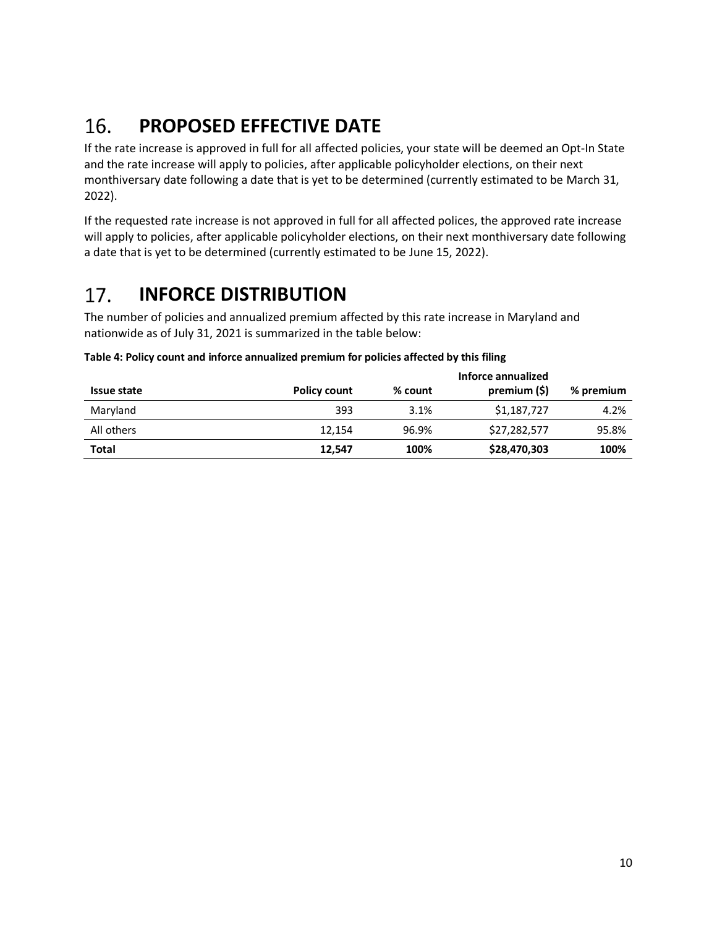#### 16. **PROPOSED EFFECTIVE DATE**

If the rate increase is approved in full for all affected policies, your state will be deemed an Opt-In State and the rate increase will apply to policies, after applicable policyholder elections, on their next monthiversary date following a date that is yet to be determined (currently estimated to be March 31, 2022).

If the requested rate increase is not approved in full for all affected polices, the approved rate increase will apply to policies, after applicable policyholder elections, on their next monthiversary date following a date that is yet to be determined (currently estimated to be June 15, 2022).

#### 17. **INFORCE DISTRIBUTION**

The number of policies and annualized premium affected by this rate increase in Maryland and nationwide as of July 31, 2021 is summarized in the table below:

| Issue state  | <b>Policy count</b> | % count | Inforce annualized<br>premium (\$) | % premium |
|--------------|---------------------|---------|------------------------------------|-----------|
| Maryland     | 393                 | 3.1%    | \$1,187,727                        | 4.2%      |
| All others   | 12,154              | 96.9%   | \$27,282,577                       | 95.8%     |
| <b>Total</b> | 12,547              | 100%    | \$28,470,303                       | 100%      |

### **Table 4: Policy count and inforce annualized premium for policies affected by this filing**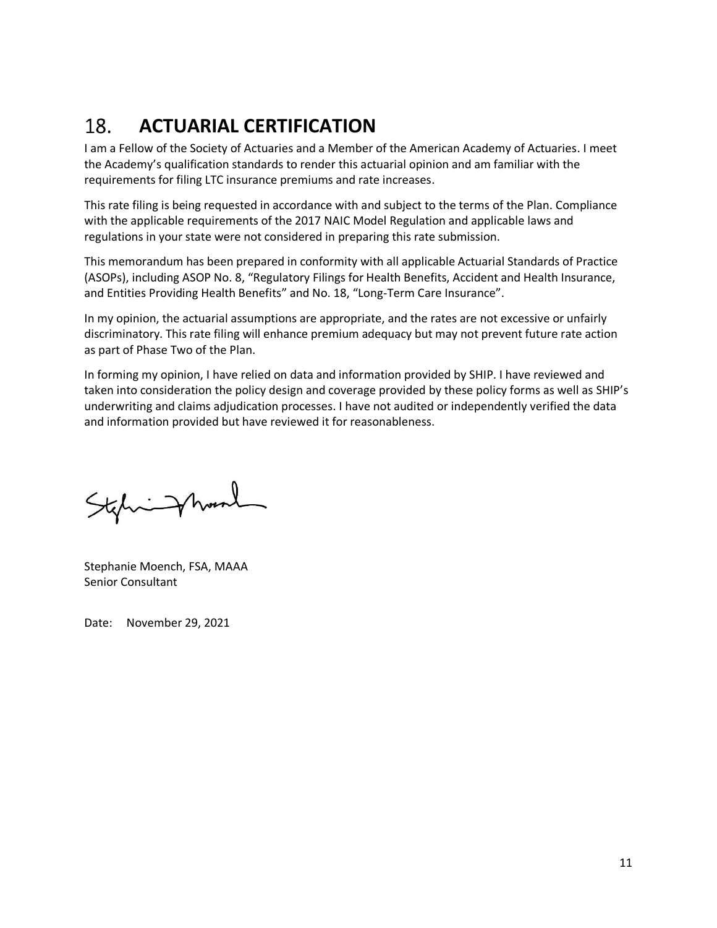#### 18. **ACTUARIAL CERTIFICATION**

I am a Fellow of the Society of Actuaries and a Member of the American Academy of Actuaries. I meet the Academy's qualification standards to render this actuarial opinion and am familiar with the requirements for filing LTC insurance premiums and rate increases.

This rate filing is being requested in accordance with and subject to the terms of the Plan. Compliance with the applicable requirements of the 2017 NAIC Model Regulation and applicable laws and regulations in your state were not considered in preparing this rate submission.

This memorandum has been prepared in conformity with all applicable Actuarial Standards of Practice (ASOPs), including ASOP No. 8, "Regulatory Filings for Health Benefits, Accident and Health Insurance, and Entities Providing Health Benefits" and No. 18, "Long-Term Care Insurance".

In my opinion, the actuarial assumptions are appropriate, and the rates are not excessive or unfairly discriminatory. This rate filing will enhance premium adequacy but may not prevent future rate action as part of Phase Two of the Plan.

In forming my opinion, I have relied on data and information provided by SHIP. I have reviewed and taken into consideration the policy design and coverage provided by these policy forms as well as SHIP's underwriting and claims adjudication processes. I have not audited or independently verified the data and information provided but have reviewed it for reasonableness.

Stehnight

Stephanie Moench, FSA, MAAA Senior Consultant

Date: November 29, 2021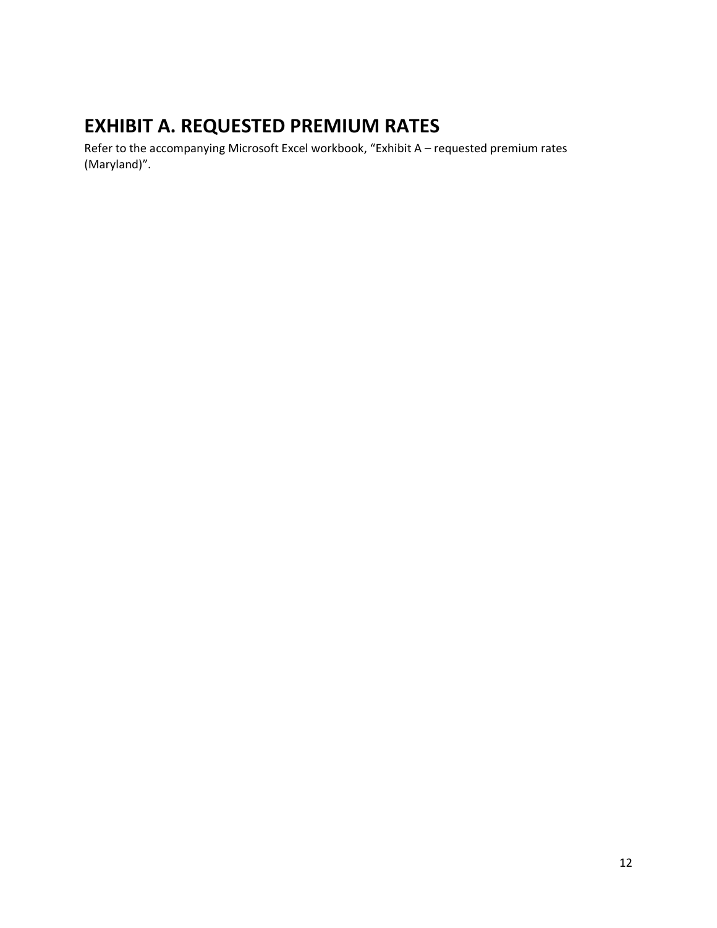# **EXHIBIT A. REQUESTED PREMIUM RATES**

Refer to the accompanying Microsoft Excel workbook, "Exhibit A – requested premium rates (Maryland)".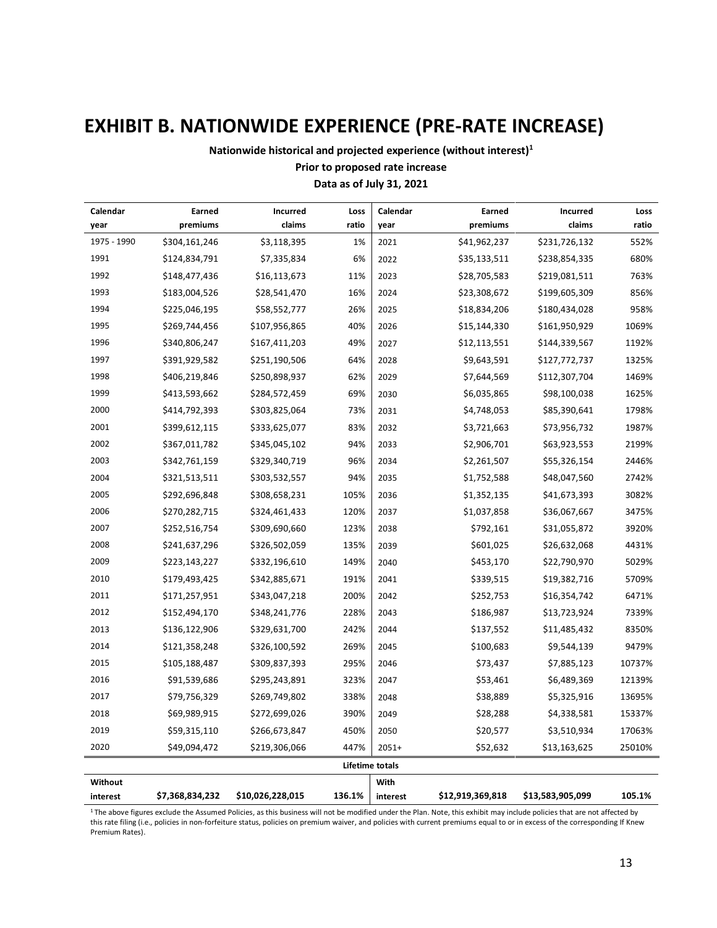# **EXHIBIT B. NATIONWIDE EXPERIENCE (PRE-RATE INCREASE)**

**Nationwide historical and projected experience (without interest)<sup>1</sup>**

### **Prior to proposed rate increase**

### **Data as of July 31, 2021**

| Calendar    | Earned          | Incurred         | Loss   | Calendar               | Earned           | Incurred         | Loss   |
|-------------|-----------------|------------------|--------|------------------------|------------------|------------------|--------|
| year        | premiums        | claims           | ratio  | year                   | premiums         | claims           | ratio  |
| 1975 - 1990 | \$304,161,246   | \$3,118,395      | 1%     | 2021                   | \$41,962,237     | \$231,726,132    | 552%   |
| 1991        | \$124,834,791   | \$7,335,834      | 6%     | 2022                   | \$35,133,511     | \$238,854,335    | 680%   |
| 1992        | \$148,477,436   | \$16,113,673     | 11%    | 2023                   | \$28,705,583     | \$219,081,511    | 763%   |
| 1993        | \$183,004,526   | \$28,541,470     | 16%    | 2024                   | \$23,308,672     | \$199,605,309    | 856%   |
| 1994        | \$225,046,195   | \$58,552,777     | 26%    | 2025                   | \$18,834,206     | \$180,434,028    | 958%   |
| 1995        | \$269,744,456   | \$107,956,865    | 40%    | 2026                   | \$15,144,330     | \$161,950,929    | 1069%  |
| 1996        | \$340,806,247   | \$167,411,203    | 49%    | 2027                   | \$12,113,551     | \$144,339,567    | 1192%  |
| 1997        | \$391,929,582   | \$251,190,506    | 64%    | 2028                   | \$9,643,591      | \$127,772,737    | 1325%  |
| 1998        | \$406,219,846   | \$250,898,937    | 62%    | 2029                   | \$7,644,569      | \$112,307,704    | 1469%  |
| 1999        | \$413,593,662   | \$284,572,459    | 69%    | 2030                   | \$6,035,865      | \$98,100,038     | 1625%  |
| 2000        | \$414,792,393   | \$303,825,064    | 73%    | 2031                   | \$4,748,053      | \$85,390,641     | 1798%  |
| 2001        | \$399,612,115   | \$333,625,077    | 83%    | 2032                   | \$3,721,663      | \$73,956,732     | 1987%  |
| 2002        | \$367,011,782   | \$345,045,102    | 94%    | 2033                   | \$2,906,701      | \$63,923,553     | 2199%  |
| 2003        | \$342,761,159   | \$329,340,719    | 96%    | 2034                   | \$2,261,507      | \$55,326,154     | 2446%  |
| 2004        | \$321,513,511   | \$303,532,557    | 94%    | 2035                   | \$1,752,588      | \$48,047,560     | 2742%  |
| 2005        | \$292,696,848   | \$308,658,231    | 105%   | 2036                   | \$1,352,135      | \$41,673,393     | 3082%  |
| 2006        | \$270,282,715   | \$324,461,433    | 120%   | 2037                   | \$1,037,858      | \$36,067,667     | 3475%  |
| 2007        | \$252,516,754   | \$309,690,660    | 123%   | 2038                   | \$792,161        | \$31,055,872     | 3920%  |
| 2008        | \$241,637,296   | \$326,502,059    | 135%   | 2039                   | \$601,025        | \$26,632,068     | 4431%  |
| 2009        | \$223,143,227   | \$332,196,610    | 149%   | 2040                   | \$453,170        | \$22,790,970     | 5029%  |
| 2010        | \$179,493,425   | \$342,885,671    | 191%   | 2041                   | \$339,515        | \$19,382,716     | 5709%  |
| 2011        | \$171,257,951   | \$343,047,218    | 200%   | 2042                   | \$252,753        | \$16,354,742     | 6471%  |
| 2012        | \$152,494,170   | \$348,241,776    | 228%   | 2043                   | \$186,987        | \$13,723,924     | 7339%  |
| 2013        | \$136,122,906   | \$329,631,700    | 242%   | 2044                   | \$137,552        | \$11,485,432     | 8350%  |
| 2014        | \$121,358,248   | \$326,100,592    | 269%   | 2045                   | \$100,683        | \$9,544,139      | 9479%  |
| 2015        | \$105,188,487   | \$309,837,393    | 295%   | 2046                   | \$73,437         | \$7,885,123      | 10737% |
| 2016        | \$91,539,686    | \$295,243,891    | 323%   | 2047                   | \$53,461         | \$6,489,369      | 12139% |
| 2017        | \$79,756,329    | \$269,749,802    | 338%   | 2048                   | \$38,889         | \$5,325,916      | 13695% |
| 2018        | \$69,989,915    | \$272,699,026    | 390%   | 2049                   | \$28,288         | \$4,338,581      | 15337% |
| 2019        | \$59,315,110    | \$266,673,847    | 450%   | 2050                   | \$20,577         | \$3,510,934      | 17063% |
| 2020        | \$49,094,472    | \$219,306,066    | 447%   | $2051+$                | \$52,632         | \$13,163,625     | 25010% |
|             |                 |                  |        | <b>Lifetime totals</b> |                  |                  |        |
| Without     |                 |                  |        | With                   |                  |                  |        |
| interest    | \$7,368,834,232 | \$10,026,228,015 | 136.1% | interest               | \$12,919,369,818 | \$13,583,905,099 | 105.1% |

<sup>1</sup> The above figures exclude the Assumed Policies, as this business will not be modified under the Plan. Note, this exhibit may include policies that are not affected by this rate filing (i.e., policies in non-forfeiture status, policies on premium waiver, and policies with current premiums equal to or in excess of the corresponding If Knew Premium Rates).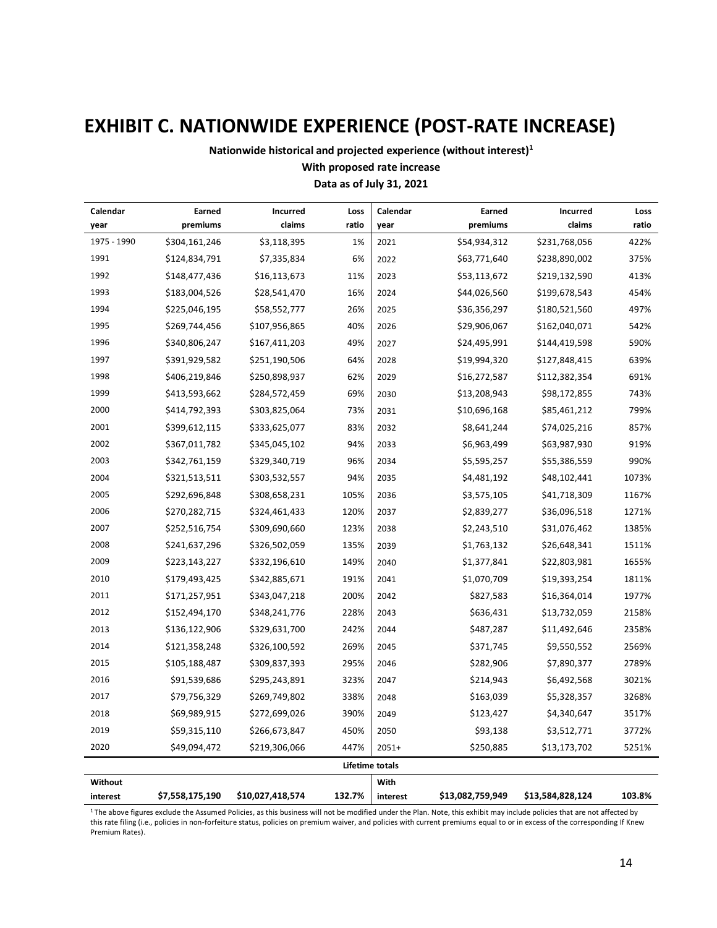# **EXHIBIT C. NATIONWIDE EXPERIENCE (POST-RATE INCREASE)**

**Nationwide historical and projected experience (without interest)<sup>1</sup>**

### **With proposed rate increase**

### **Data as of July 31, 2021**

| Calendar    | Earned          | Incurred         | Loss   | Calendar        | Earned           | Incurred         | Loss   |
|-------------|-----------------|------------------|--------|-----------------|------------------|------------------|--------|
| year        | premiums        | claims           | ratio  | year            | premiums         | claims           | ratio  |
| 1975 - 1990 | \$304,161,246   | \$3,118,395      | 1%     | 2021            | \$54,934,312     | \$231,768,056    | 422%   |
| 1991        | \$124,834,791   | \$7,335,834      | 6%     | 2022            | \$63,771,640     | \$238,890,002    | 375%   |
| 1992        | \$148,477,436   | \$16,113,673     | 11%    | 2023            | \$53,113,672     | \$219,132,590    | 413%   |
| 1993        | \$183,004,526   | \$28,541,470     | 16%    | 2024            | \$44,026,560     | \$199,678,543    | 454%   |
| 1994        | \$225,046,195   | \$58,552,777     | 26%    | 2025            | \$36,356,297     | \$180,521,560    | 497%   |
| 1995        | \$269,744,456   | \$107,956,865    | 40%    | 2026            | \$29,906,067     | \$162,040,071    | 542%   |
| 1996        | \$340,806,247   | \$167,411,203    | 49%    | 2027            | \$24,495,991     | \$144,419,598    | 590%   |
| 1997        | \$391,929,582   | \$251,190,506    | 64%    | 2028            | \$19,994,320     | \$127,848,415    | 639%   |
| 1998        | \$406,219,846   | \$250,898,937    | 62%    | 2029            | \$16,272,587     | \$112,382,354    | 691%   |
| 1999        | \$413,593,662   | \$284,572,459    | 69%    | 2030            | \$13,208,943     | \$98,172,855     | 743%   |
| 2000        | \$414,792,393   | \$303,825,064    | 73%    | 2031            | \$10,696,168     | \$85,461,212     | 799%   |
| 2001        | \$399,612,115   | \$333,625,077    | 83%    | 2032            | \$8,641,244      | \$74,025,216     | 857%   |
| 2002        | \$367,011,782   | \$345,045,102    | 94%    | 2033            | \$6,963,499      | \$63,987,930     | 919%   |
| 2003        | \$342,761,159   | \$329,340,719    | 96%    | 2034            | \$5,595,257      | \$55,386,559     | 990%   |
| 2004        | \$321,513,511   | \$303,532,557    | 94%    | 2035            | \$4,481,192      | \$48,102,441     | 1073%  |
| 2005        | \$292,696,848   | \$308,658,231    | 105%   | 2036            | \$3,575,105      | \$41,718,309     | 1167%  |
| 2006        | \$270,282,715   | \$324,461,433    | 120%   | 2037            | \$2,839,277      | \$36,096,518     | 1271%  |
| 2007        | \$252,516,754   | \$309,690,660    | 123%   | 2038            | \$2,243,510      | \$31,076,462     | 1385%  |
| 2008        | \$241,637,296   | \$326,502,059    | 135%   | 2039            | \$1,763,132      | \$26,648,341     | 1511%  |
| 2009        | \$223,143,227   | \$332,196,610    | 149%   | 2040            | \$1,377,841      | \$22,803,981     | 1655%  |
| 2010        | \$179,493,425   | \$342,885,671    | 191%   | 2041            | \$1,070,709      | \$19,393,254     | 1811%  |
| 2011        | \$171,257,951   | \$343,047,218    | 200%   | 2042            | \$827,583        | \$16,364,014     | 1977%  |
| 2012        | \$152,494,170   | \$348,241,776    | 228%   | 2043            | \$636,431        | \$13,732,059     | 2158%  |
| 2013        | \$136,122,906   | \$329,631,700    | 242%   | 2044            | \$487,287        | \$11,492,646     | 2358%  |
| 2014        | \$121,358,248   | \$326,100,592    | 269%   | 2045            | \$371,745        | \$9,550,552      | 2569%  |
| 2015        | \$105,188,487   | \$309,837,393    | 295%   | 2046            | \$282,906        | \$7,890,377      | 2789%  |
| 2016        | \$91,539,686    | \$295,243,891    | 323%   | 2047            | \$214,943        | \$6,492,568      | 3021%  |
| 2017        | \$79,756,329    | \$269,749,802    | 338%   | 2048            | \$163,039        | \$5,328,357      | 3268%  |
| 2018        | \$69,989,915    | \$272,699,026    | 390%   | 2049            | \$123,427        | \$4,340,647      | 3517%  |
| 2019        | \$59,315,110    | \$266,673,847    | 450%   | 2050            | \$93,138         | \$3,512,771      | 3772%  |
| 2020        | \$49,094,472    | \$219,306,066    | 447%   | $2051+$         | \$250,885        | \$13,173,702     | 5251%  |
|             |                 |                  |        | Lifetime totals |                  |                  |        |
| Without     |                 |                  |        | With            |                  |                  |        |
| interest    | \$7,558,175,190 | \$10,027,418,574 | 132.7% | interest        | \$13,082,759,949 | \$13,584,828,124 | 103.8% |

<sup>1</sup>The above figures exclude the Assumed Policies, as this business will not be modified under the Plan. Note, this exhibit may include policies that are not affected by this rate filing (i.e., policies in non-forfeiture status, policies on premium waiver, and policies with current premiums equal to or in excess of the corresponding If Knew Premium Rates).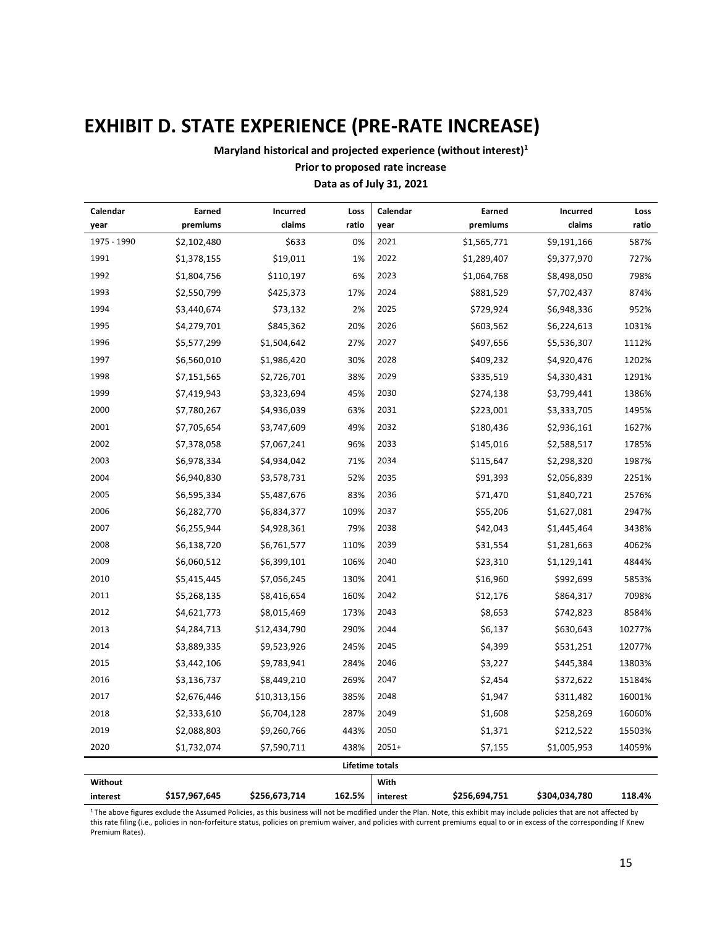# **EXHIBIT D. STATE EXPERIENCE (PRE-RATE INCREASE)**

**Maryland historical and projected experience (without interest)<sup>1</sup>**

### **Prior to proposed rate increase**

### **Data as of July 31, 2021**

| Calendar    | Earned        | Incurred      | Loss   | Calendar               | Earned        | <b>Incurred</b> | Loss   |
|-------------|---------------|---------------|--------|------------------------|---------------|-----------------|--------|
| year        | premiums      | claims        | ratio  | year                   | premiums      | claims          | ratio  |
| 1975 - 1990 | \$2,102,480   | \$633         | 0%     | 2021                   | \$1,565,771   | \$9,191,166     | 587%   |
| 1991        | \$1,378,155   | \$19,011      | 1%     | 2022                   | \$1,289,407   | \$9,377,970     | 727%   |
| 1992        | \$1,804,756   | \$110,197     | 6%     | 2023                   | \$1,064,768   | \$8,498,050     | 798%   |
| 1993        | \$2,550,799   | \$425,373     | 17%    | 2024                   | \$881,529     | \$7,702,437     | 874%   |
| 1994        | \$3,440,674   | \$73,132      | 2%     | 2025                   | \$729,924     | \$6,948,336     | 952%   |
| 1995        | \$4,279,701   | \$845,362     | 20%    | 2026                   | \$603,562     | \$6,224,613     | 1031%  |
| 1996        | \$5,577,299   | \$1,504,642   | 27%    | 2027                   | \$497,656     | \$5,536,307     | 1112%  |
| 1997        | \$6,560,010   | \$1,986,420   | 30%    | 2028                   | \$409,232     | \$4,920,476     | 1202%  |
| 1998        | \$7,151,565   | \$2,726,701   | 38%    | 2029                   | \$335,519     | \$4,330,431     | 1291%  |
| 1999        | \$7,419,943   | \$3,323,694   | 45%    | 2030                   | \$274,138     | \$3,799,441     | 1386%  |
| 2000        | \$7,780,267   | \$4,936,039   | 63%    | 2031                   | \$223,001     | \$3,333,705     | 1495%  |
| 2001        | \$7,705,654   | \$3,747,609   | 49%    | 2032                   | \$180,436     | \$2,936,161     | 1627%  |
| 2002        | \$7,378,058   | \$7,067,241   | 96%    | 2033                   | \$145,016     | \$2,588,517     | 1785%  |
| 2003        | \$6,978,334   | \$4,934,042   | 71%    | 2034                   | \$115,647     | \$2,298,320     | 1987%  |
| 2004        | \$6,940,830   | \$3,578,731   | 52%    | 2035                   | \$91,393      | \$2,056,839     | 2251%  |
| 2005        | \$6,595,334   | \$5,487,676   | 83%    | 2036                   | \$71,470      | \$1,840,721     | 2576%  |
| 2006        | \$6,282,770   | \$6,834,377   | 109%   | 2037                   | \$55,206      | \$1,627,081     | 2947%  |
| 2007        | \$6,255,944   | \$4,928,361   | 79%    | 2038                   | \$42,043      | \$1,445,464     | 3438%  |
| 2008        | \$6,138,720   | \$6,761,577   | 110%   | 2039                   | \$31,554      | \$1,281,663     | 4062%  |
| 2009        | \$6,060,512   | \$6,399,101   | 106%   | 2040                   | \$23,310      | \$1,129,141     | 4844%  |
| 2010        | \$5,415,445   | \$7,056,245   | 130%   | 2041                   | \$16,960      | \$992,699       | 5853%  |
| 2011        | \$5,268,135   | \$8,416,654   | 160%   | 2042                   | \$12,176      | \$864,317       | 7098%  |
| 2012        | \$4,621,773   | \$8,015,469   | 173%   | 2043                   | \$8,653       | \$742,823       | 8584%  |
| 2013        | \$4,284,713   | \$12,434,790  | 290%   | 2044                   | \$6,137       | \$630,643       | 10277% |
| 2014        | \$3,889,335   | \$9,523,926   | 245%   | 2045                   | \$4,399       | \$531,251       | 12077% |
| 2015        | \$3,442,106   | \$9,783,941   | 284%   | 2046                   | \$3,227       | \$445,384       | 13803% |
| 2016        | \$3,136,737   | \$8,449,210   | 269%   | 2047                   | \$2,454       | \$372,622       | 15184% |
| 2017        | \$2,676,446   | \$10,313,156  | 385%   | 2048                   | \$1,947       | \$311,482       | 16001% |
| 2018        | \$2,333,610   | \$6,704,128   | 287%   | 2049                   | \$1,608       | \$258,269       | 16060% |
| 2019        | \$2,088,803   | \$9,260,766   | 443%   | 2050                   | \$1,371       | \$212,522       | 15503% |
| 2020        | \$1,732,074   | \$7,590,711   | 438%   | $2051+$                | \$7,155       | \$1,005,953     | 14059% |
|             |               |               |        | <b>Lifetime totals</b> |               |                 |        |
| Without     |               |               |        | With                   |               |                 |        |
| interest    | \$157,967,645 | \$256,673,714 | 162.5% | interest               | \$256,694,751 | \$304,034,780   | 118.4% |

<sup>1</sup> The above figures exclude the Assumed Policies, as this business will not be modified under the Plan. Note, this exhibit may include policies that are not affected by this rate filing (i.e., policies in non-forfeiture status, policies on premium waiver, and policies with current premiums equal to or in excess of the corresponding If Knew Premium Rates).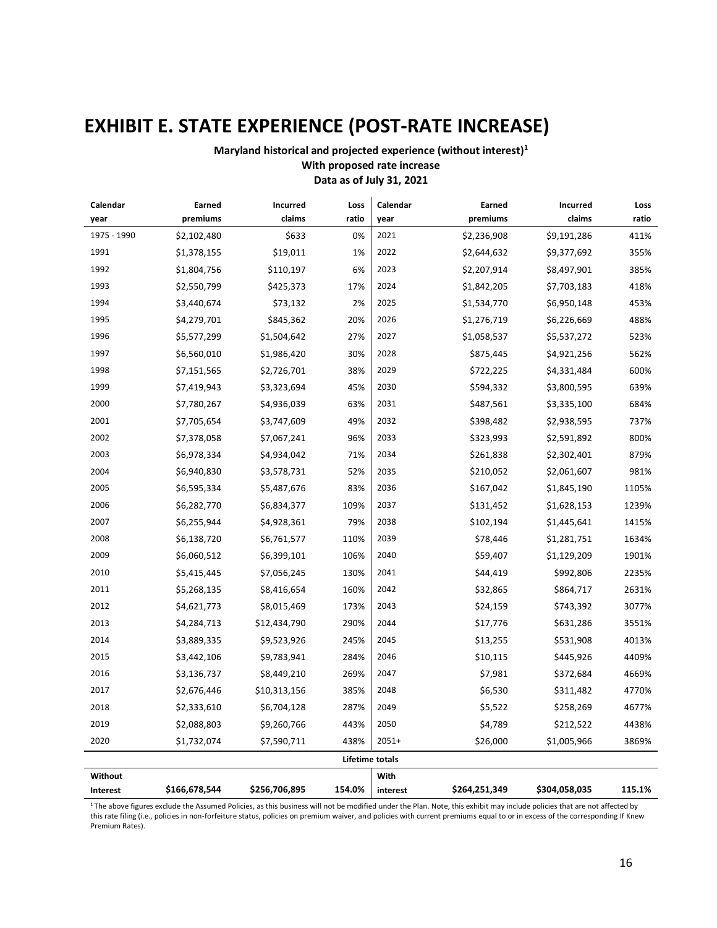# **EXHIBIT E. STATE EXPERIENCE (POST-RATE INCREASE)**

**Maryland historical and projected experience (without interest)<sup>1</sup> With proposed rate increase Data as of July 31, 2021**

| Calendar    | Earned        | Incurred      | Loss   | Calendar        | Earned        | <b>Incurred</b> | Loss   |
|-------------|---------------|---------------|--------|-----------------|---------------|-----------------|--------|
| year        | premiums      | claims        | ratio  | year            | premiums      | claims          | ratio  |
| 1975 - 1990 | \$2,102,480   | \$633         | 0%     | 2021            | \$2,236,908   | \$9,191,286     | 411%   |
| 1991        | \$1,378,155   | \$19,011      | 1%     | 2022            | \$2,644,632   | \$9,377,692     | 355%   |
| 1992        | \$1,804,756   | \$110,197     | 6%     | 2023            | \$2,207,914   | \$8,497,901     | 385%   |
| 1993        | \$2,550,799   | \$425,373     | 17%    | 2024            | \$1,842,205   | \$7,703,183     | 418%   |
| 1994        | \$3,440,674   | \$73,132      | 2%     | 2025            | \$1,534,770   | \$6,950,148     | 453%   |
| 1995        | \$4,279,701   | \$845,362     | 20%    | 2026            | \$1,276,719   | \$6,226,669     | 488%   |
| 1996        | \$5,577,299   | \$1,504,642   | 27%    | 2027            | \$1,058,537   | \$5,537,272     | 523%   |
| 1997        | \$6,560,010   | \$1,986,420   | 30%    | 2028            | \$875,445     | \$4,921,256     | 562%   |
| 1998        | \$7,151,565   | \$2,726,701   | 38%    | 2029            | \$722,225     | \$4,331,484     | 600%   |
| 1999        | \$7,419,943   | \$3,323,694   | 45%    | 2030            | \$594,332     | \$3,800,595     | 639%   |
| 2000        | \$7,780,267   | \$4,936,039   | 63%    | 2031            | \$487,561     | \$3,335,100     | 684%   |
| 2001        | \$7,705,654   | \$3,747,609   | 49%    | 2032            | \$398,482     | \$2,938,595     | 737%   |
| 2002        | \$7,378,058   | \$7,067,241   | 96%    | 2033            | \$323,993     | \$2,591,892     | 800%   |
| 2003        | \$6,978,334   | \$4,934,042   | 71%    | 2034            | \$261,838     | \$2,302,401     | 879%   |
| 2004        | \$6,940,830   | \$3,578,731   | 52%    | 2035            | \$210,052     | \$2,061,607     | 981%   |
| 2005        | \$6,595,334   | \$5,487,676   | 83%    | 2036            | \$167,042     | \$1,845,190     | 1105%  |
| 2006        | \$6,282,770   | \$6,834,377   | 109%   | 2037            | \$131,452     | \$1,628,153     | 1239%  |
| 2007        | \$6,255,944   | \$4,928,361   | 79%    | 2038            | \$102,194     | \$1,445,641     | 1415%  |
| 2008        | \$6,138,720   | \$6,761,577   | 110%   | 2039            | \$78,446      | \$1,281,751     | 1634%  |
| 2009        | \$6,060,512   | \$6,399,101   | 106%   | 2040            | \$59,407      | \$1,129,209     | 1901%  |
| 2010        | \$5,415,445   | \$7,056,245   | 130%   | 2041            | \$44,419      | \$992,806       | 2235%  |
| 2011        | \$5,268,135   | \$8,416,654   | 160%   | 2042            | \$32,865      | \$864,717       | 2631%  |
| 2012        | \$4,621,773   | \$8,015,469   | 173%   | 2043            | \$24,159      | \$743,392       | 3077%  |
| 2013        | \$4,284,713   | \$12,434,790  | 290%   | 2044            | \$17,776      | \$631,286       | 3551%  |
| 2014        | \$3,889,335   | \$9,523,926   | 245%   | 2045            | \$13,255      | \$531,908       | 4013%  |
| 2015        | \$3,442,106   | \$9,783,941   | 284%   | 2046            | \$10,115      | \$445,926       | 4409%  |
| 2016        | \$3,136,737   | \$8,449,210   | 269%   | 2047            | \$7,981       | \$372,684       | 4669%  |
| 2017        | \$2,676,446   | \$10,313,156  | 385%   | 2048            | \$6,530       | \$311,482       | 4770%  |
| 2018        | \$2,333,610   | \$6,704,128   | 287%   | 2049            | \$5,522       | \$258,269       | 4677%  |
| 2019        | \$2,088,803   | \$9,260,766   | 443%   | 2050            | \$4,789       | \$212,522       | 4438%  |
| 2020        | \$1,732,074   | \$7,590,711   | 438%   | $2051+$         | \$26,000      | \$1,005,966     | 3869%  |
|             |               |               |        | Lifetime totals |               |                 |        |
| Without     |               |               |        | With            |               |                 |        |
| Interest    | \$166,678,544 | \$256,706,895 | 154.0% | interest        | \$264,251,349 | \$304,058,035   | 115.1% |

<sup>1</sup> The above figures exclude the Assumed Policies, as this business will not be modified under the Plan. Note, this exhibit may include policies that are not affected by this rate filing (i.e., policies in non-forfeiture status, policies on premium waiver, and policies with current premiums equal to or in excess of the corresponding If Knew Premium Rates).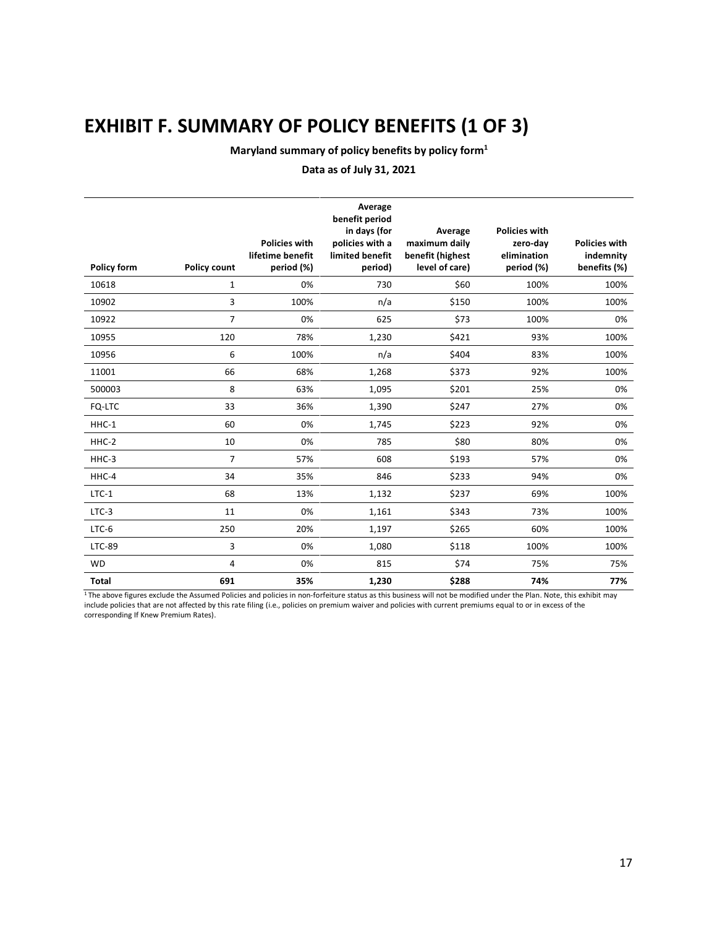# **EXHIBIT F. SUMMARY OF POLICY BENEFITS (1 OF 3)**

**Maryland summary of policy benefits by policy form<sup>1</sup>**

### **Data as of July 31, 2021**

| <b>Policy form</b> | <b>Policy count</b> | <b>Policies with</b><br>lifetime benefit<br>period (%) | Average<br>benefit period<br>in days (for<br>policies with a<br>limited benefit<br>period) | Average<br>maximum daily<br>benefit (highest<br>level of care) | <b>Policies with</b><br>zero-day<br>elimination<br>period (%) | <b>Policies with</b><br>indemnity<br>benefits (%) |
|--------------------|---------------------|--------------------------------------------------------|--------------------------------------------------------------------------------------------|----------------------------------------------------------------|---------------------------------------------------------------|---------------------------------------------------|
| 10618              | 1                   | 0%                                                     | 730                                                                                        | \$60                                                           | 100%                                                          | 100%                                              |
| 10902              | 3                   | 100%                                                   | n/a                                                                                        | \$150                                                          | 100%                                                          | 100%                                              |
| 10922              | $\overline{7}$      | 0%                                                     | 625                                                                                        | \$73                                                           | 100%                                                          | 0%                                                |
| 10955              | 120                 | 78%                                                    | 1,230                                                                                      | \$421                                                          | 93%                                                           | 100%                                              |
| 10956              | 6                   | 100%                                                   | n/a                                                                                        | \$404                                                          | 83%                                                           | 100%                                              |
| 11001              | 66                  | 68%                                                    | 1,268                                                                                      | \$373                                                          | 92%                                                           | 100%                                              |
| 500003             | 8                   | 63%                                                    | 1,095                                                                                      | \$201                                                          | 25%                                                           | 0%                                                |
| FQ-LTC             | 33                  | 36%                                                    | 1,390                                                                                      | \$247                                                          | 27%                                                           | 0%                                                |
| HHC-1              | 60                  | 0%                                                     | 1,745                                                                                      | \$223                                                          | 92%                                                           | 0%                                                |
| HHC-2              | 10                  | 0%                                                     | 785                                                                                        | \$80                                                           | 80%                                                           | 0%                                                |
| HHC-3              | $\overline{7}$      | 57%                                                    | 608                                                                                        | \$193                                                          | 57%                                                           | 0%                                                |
| HHC-4              | 34                  | 35%                                                    | 846                                                                                        | \$233                                                          | 94%                                                           | 0%                                                |
| $LTC-1$            | 68                  | 13%                                                    | 1,132                                                                                      | \$237                                                          | 69%                                                           | 100%                                              |
| $LTC-3$            | 11                  | 0%                                                     | 1,161                                                                                      | \$343                                                          | 73%                                                           | 100%                                              |
| $LTC-6$            | 250                 | 20%                                                    | 1,197                                                                                      | \$265                                                          | 60%                                                           | 100%                                              |
| LTC-89             | 3                   | 0%                                                     | 1,080                                                                                      | \$118                                                          | 100%                                                          | 100%                                              |
| <b>WD</b>          | 4                   | 0%                                                     | 815                                                                                        | \$74                                                           | 75%                                                           | 75%                                               |
| <b>Total</b>       | 691                 | 35%                                                    | 1,230                                                                                      | \$288                                                          | 74%                                                           | 77%                                               |

<sup>1</sup> The above figures exclude the Assumed Policies and policies in non-forfeiture status as this business will not be modified under the Plan. Note, this exhibit may include policies that are not affected by this rate filing (i.e., policies on premium waiver and policies with current premiums equal to or in excess of the corresponding If Knew Premium Rates).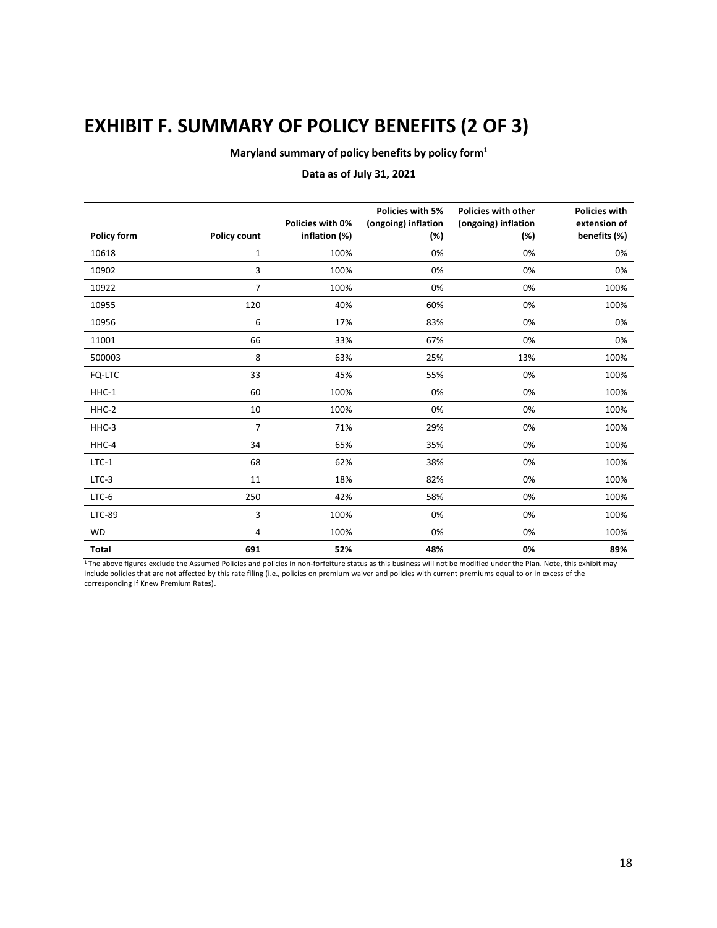# **EXHIBIT F. SUMMARY OF POLICY BENEFITS (2 OF 3)**

**Maryland summary of policy benefits by policy form<sup>1</sup>**

### **Data as of July 31, 2021**

|             |                     | Policies with 0% | <b>Policies with 5%</b>    | <b>Policies with other</b> | <b>Policies with</b><br>extension of |
|-------------|---------------------|------------------|----------------------------|----------------------------|--------------------------------------|
| Policy form | <b>Policy count</b> | inflation (%)    | (ongoing) inflation<br>(%) | (ongoing) inflation<br>(%) | benefits (%)                         |
| 10618       | 1                   | 100%             | 0%                         | 0%                         | 0%                                   |
| 10902       | 3                   | 100%             | 0%                         | 0%                         | 0%                                   |
| 10922       | $\overline{7}$      | 100%             | 0%                         | 0%                         | 100%                                 |
| 10955       | 120                 | 40%              | 60%                        | 0%                         | 100%                                 |
| 10956       | 6                   | 17%              | 83%                        | 0%                         | 0%                                   |
| 11001       | 66                  | 33%              | 67%                        | 0%                         | 0%                                   |
| 500003      | 8                   | 63%              | 25%                        | 13%                        | 100%                                 |
| FQ-LTC      | 33                  | 45%              | 55%                        | 0%                         | 100%                                 |
| HHC-1       | 60                  | 100%             | 0%                         | 0%                         | 100%                                 |
| HHC-2       | 10                  | 100%             | 0%                         | 0%                         | 100%                                 |
| HHC-3       | 7                   | 71%              | 29%                        | 0%                         | 100%                                 |
| HHC-4       | 34                  | 65%              | 35%                        | 0%                         | 100%                                 |
| $LTC-1$     | 68                  | 62%              | 38%                        | 0%                         | 100%                                 |
| $LTC-3$     | 11                  | 18%              | 82%                        | 0%                         | 100%                                 |
| $LTC-6$     | 250                 | 42%              | 58%                        | 0%                         | 100%                                 |
| LTC-89      | 3                   | 100%             | 0%                         | 0%                         | 100%                                 |
| <b>WD</b>   | 4                   | 100%             | 0%                         | 0%                         | 100%                                 |
| Total       | 691                 | 52%              | 48%                        | 0%                         | 89%                                  |

<sup>1</sup> The above figures exclude the Assumed Policies and policies in non-forfeiture status as this business will not be modified under the Plan. Note, this exhibit may include policies that are not affected by this rate filing (i.e., policies on premium waiver and policies with current premiums equal to or in excess of the corresponding If Knew Premium Rates).